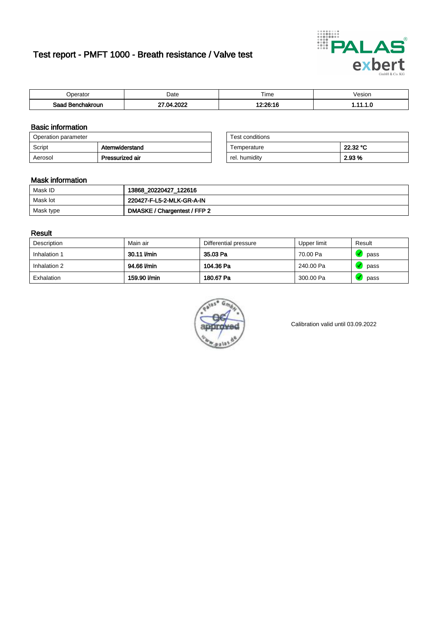# Test report - PMFT 1000 - Breath resistance / Valve test



| )perator               | Date             | $- \cdot$<br>Fime | esion |
|------------------------|------------------|-------------------|-------|
| המס<br>hakroun<br>32 H | റററ<br>` ∩⊿<br>w | 10.00.10          | .     |

### Basic information

| Operation parameter |                 | Test conditions |          |
|---------------------|-----------------|-----------------|----------|
| Script              | Atemwiderstand  | Temperature     | 22.32 °C |
| Aerosol             | Pressurized air | rel. humiditv   | 2.93 %   |

| Test conditions |          |
|-----------------|----------|
| Temperature     | 22.32 °C |
| rel. humidity   | 2.93%    |

### Mask information

| Mask ID   | 13868_20220427_122616        |
|-----------|------------------------------|
| Mask lot  | 220427-F-L5-2-MLK-GR-A-IN    |
| Mask type | DMASKE / Chargentest / FFP 2 |

#### Result

| Description  | Main air     | Differential pressure | Upper limit | Result |
|--------------|--------------|-----------------------|-------------|--------|
| Inhalation 1 | 30.11 l/min  | 35.03 Pa              | 70.00 Pa    | pass   |
| Inhalation 2 | 94.66 l/min  | 104.36 Pa             | 240.00 Pa   | pass   |
| Exhalation   | 159.90 l/min | 180.67 Pa             | 300.00 Pa   | pass   |



Calibration valid until 03.09.2022